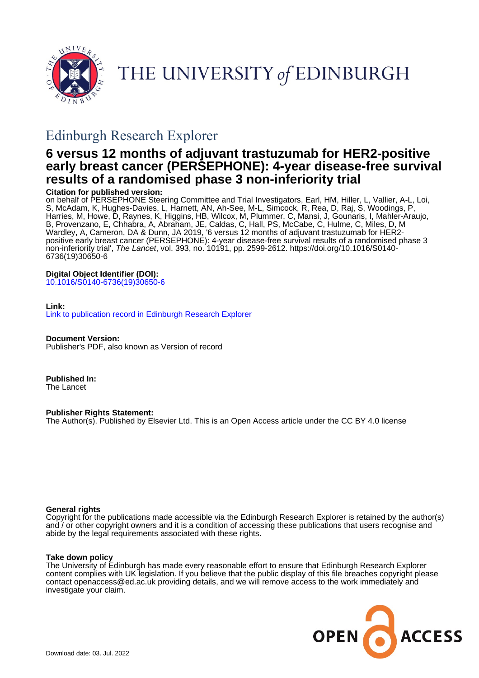

THE UNIVERSITY of EDINBURGH

# Edinburgh Research Explorer

# **6 versus 12 months of adjuvant trastuzumab for HER2-positive early breast cancer (PERSEPHONE): 4-year disease-free survival results of a randomised phase 3 non-inferiority trial**

# **Citation for published version:**

on behalf of PERSEPHONE Steering Committee and Trial Investigators, Earl, HM, Hiller, L, Vallier, A-L, Loi, S, McAdam, K, Hughes-Davies, L, Harnett, AN, Ah-See, M-L, Simcock, R, Rea, D, Raj, S, Woodings, P, Harries, M, Howe, D, Raynes, K, Higgins, HB, Wilcox, M, Plummer, C, Mansi, J, Gounaris, I, Mahler-Araujo, B, Provenzano, E, Chhabra, A, Abraham, JE, Caldas, C, Hall, PS, McCabe, C, Hulme, C, Miles, D, M Wardley, A, Cameron, DA & Dunn, JA 2019, '6 versus 12 months of adjuvant trastuzumab for HER2 positive early breast cancer (PERSEPHONE): 4-year disease-free survival results of a randomised phase 3 non-inferiority trial', The Lancet, vol. 393, no. 10191, pp. 2599-2612. [https://doi.org/10.1016/S0140-](https://doi.org/10.1016/S0140-6736(19)30650-6) [6736\(19\)30650-6](https://doi.org/10.1016/S0140-6736(19)30650-6)

# **Digital Object Identifier (DOI):**

[10.1016/S0140-6736\(19\)30650-6](https://doi.org/10.1016/S0140-6736(19)30650-6)

# **Link:**

[Link to publication record in Edinburgh Research Explorer](https://www.research.ed.ac.uk/en/publications/7f74e73b-3898-4cf0-a157-8e2cdc9eca16)

**Document Version:** Publisher's PDF, also known as Version of record

**Published In:** The Lancet

**Publisher Rights Statement:** The Author(s). Published by Elsevier Ltd. This is an Open Access article under the CC BY 4.0 license

## **General rights**

Copyright for the publications made accessible via the Edinburgh Research Explorer is retained by the author(s) and / or other copyright owners and it is a condition of accessing these publications that users recognise and abide by the legal requirements associated with these rights.

# **Take down policy**

The University of Edinburgh has made every reasonable effort to ensure that Edinburgh Research Explorer content complies with UK legislation. If you believe that the public display of this file breaches copyright please contact openaccess@ed.ac.uk providing details, and we will remove access to the work immediately and investigate your claim.

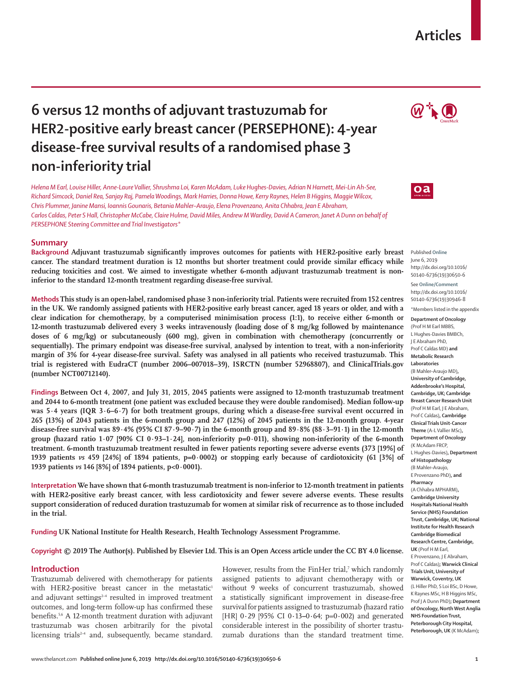# **Articles**

# **6 versus 12 months of adjuvant trastuzumab for HER2-positive early breast cancer (PERSEPHONE): 4-year disease-free survival results of a randomised phase 3 non-inferiority trial**

*Helena M Earl, Louise Hiller, Anne-Laure Vallier, Shrushma Loi, Karen McAdam, Luke Hughes-Davies, Adrian N Harnett, Mei-Lin Ah-See, Richard Simcock, Daniel Rea, Sanjay Raj, Pamela Woodings, Mark Harries, Donna Howe, Kerry Raynes, Helen B Higgins, Maggie Wilcox, Chris Plummer, Janine Mansi, Ioannis Gounaris, Betania Mahler–Araujo, Elena Provenzano, Anita Chhabra, Jean E Abraham, Carlos Caldas, Peter S Hall, Christopher McCabe, Claire Hulme, David Miles, Andrew M Wardley, David A Cameron, Janet A Dunn on behalf of PERSEPHONE Steering Committee and Trial Investigators\**

### **Summary**

**Background Adjuvant trastuzumab significantly improves outcomes for patients with HER2-positive early breast cancer. The standard treatment duration is 12 months but shorter treatment could provide similar efficacy while reducing toxicities and cost. We aimed to investigate whether 6-month adjuvant trastuzumab treatment is noninferior to the standard 12-month treatment regarding disease-free survival.**

**Methods This study is an open-label, randomised phase 3 non-inferiority trial. Patients were recruited from 152 centres in the UK. We randomly assigned patients with HER2-positive early breast cancer, aged 18 years or older, and with a clear indication for chemotherapy, by a computerised minimisation process (1:1), to receive either 6-month or 12-month trastuzumab delivered every 3 weeks intravenously (loading dose of 8 mg/kg followed by maintenance doses of 6 mg/kg) or subcutaneously (600 mg), given in combination with chemotherapy (concurrently or sequentially). The primary endpoint was disease-free survival, analysed by intention to treat, with a non-inferiority margin of 3% for 4-year disease-free survival. Safety was analysed in all patients who received trastuzumab. This trial is registered with EudraCT (number 2006–007018–39), ISRCTN (number 52968807), and ClinicalTrials.gov (number NCT00712140).**

**Findings Between Oct 4, 2007, and July 31, 2015, 2045 patients were assigned to 12-month trastuzumab treatment and 2044 to 6-month treatment (one patient was excluded because they were double randomised). Median follow-up was 5·4 years (IQR 3·6–6·7) for both treatment groups, during which a disease-free survival event occurred in 265 (13%) of 2043 patients in the 6-month group and 247 (12%) of 2045 patients in the 12-month group. 4-year disease-free survival was 89·4% (95% CI 87·9–90·7) in the 6-month group and 89·8% (88·3–91·1) in the 12-month group (hazard ratio 1·07 [90% CI 0·93–1·24], non-inferiority p=0·011), showing non-inferiority of the 6-month treatment. 6-month trastuzumab treatment resulted in fewer patients reporting severe adverse events (373 [19%] of 1939 patients** *vs* **459 [24%] of 1894 patients, p=0·0002) or stopping early because of cardiotoxicity (61 [3%] of 1939 patients** *vs* **146 [8%] of 1894 patients, p<0·0001).**

**Interpretation We have shown that 6-month trastuzumab treatment is non-inferior to 12-month treatment in patients with HER2-positive early breast cancer, with less cardiotoxicity and fewer severe adverse events. These results support consideration of reduced duration trastuzumab for women at similar risk of recurrence as to those included in the trial.**

**Funding UK National Institute for Health Research, Health Technology Assessment Programme.**

## **Copyright © 2019 The Author(s). Published by Elsevier Ltd. This is an Open Access article under the CC BY 4.0 license.**

## **Introduction**

Trastuzumab delivered with chemotherapy for patients with HER2-positive breast cancer in the metastatic<sup>1</sup> and adjuvant settings<sup>2-4</sup> resulted in improved treatment outcomes, and long-term follow-up has confirmed these benefits.<sup>5,6</sup> A 12-month treatment duration with adjuvant trastuzumab was chosen arbitrarily for the pivotal licensing trials<sup> $2-4$ </sup> and, subsequently, became standard.

However, results from the FinHer trial,<sup>7</sup> which randomly assigned patients to adjuvant chemotherapy with or without 9 weeks of concurrent trastuzumab, showed a statistically significant improvement in disease-free survival for patients assigned to trastuzumab (hazard ratio [HR] 0**·**29 [95% CI 0**·**13**–**0**·**64; p=0**·**002) and generated considerable interest in the possibility of shorter trastuzumab durations than the standard treatment time.





Published **Online** June 6, 2019 http://dx.doi.org/10.1016/ S0140-6736(19)30650-6

See **Online/Comment** http://dx.doi.org/10.1016/ S0140-6736(19)30946-8 \*Members listed in the appendix

**Department of Oncology** (Prof H M Earl MBBS, L Hughes-Davies BMBCh, J E Abraham PhD, Prof C Caldas MD) **and Metabolic Research Laboratories** (B Mahler–Araujo MD)**, University of Cambridge, Addenbrooke's Hospital, Cambridge, UK; Cambridge Breast Cancer Research Unit** (Prof H M Earl, J E Abraham, Prof C Caldas)**, Cambridge Clinical Trials Unit-Cancer Theme** (A-L Vallier MSc)**, Department of Oncology** (K McAdam FRCP, L Hughes-Davies)**, Department of Histopathology** (B Mahler–Araujo, E Provenzano PhD)**, and Pharmacy** (A Chhabra MPHARM)**, Cambridge University Hospitals National Health Service (NHS) Foundation Trust, Cambridge, UK; National Institute for Health Research Cambridge Biomedical Research Centre, Cambridge, UK** (Prof H M Earl, E Provenzano, J E Abraham, Prof C Caldas)**; Warwick Clinical Trials Unit, University of Warwick, Coventry, UK** (L Hiller PhD, S Loi BSc, D Howe, K Raynes MSc, H B Higgins MSc, Prof J A Dunn PhD)**; Department of Oncology, North West Anglia NHS Foundation Trust, Peterborough City Hospital, Peterborough, UK** (K McAdam)**;**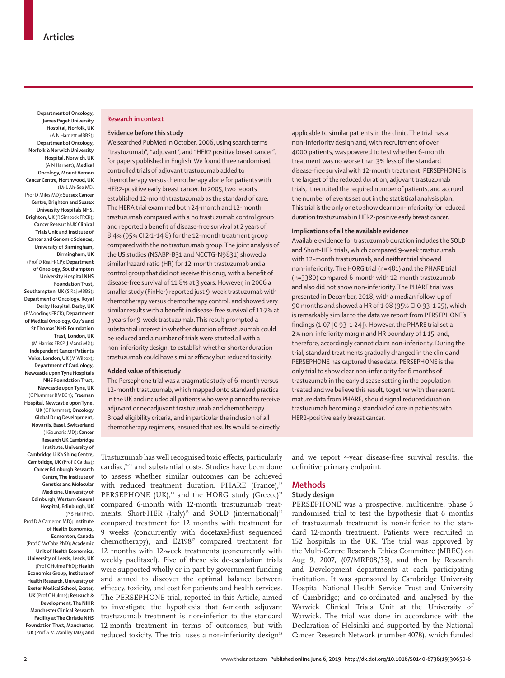**Department of Oncology, James Paget University Hospital, Norfolk, UK** (A N Harnett MBBS)**; Department of Oncology, Norfolk & Norwich University Hospital, Norwich, UK** (A N Harnett)**; Medical Oncology, Mount Vernon Cancer Centre, Northwood, UK** (M-L Ah-See MD, Prof D Miles MD)**; Sussex Cancer Centre, Brighton and Sussex University Hospitals NHS, Brighton, UK** (R Simcock FRCR)**; Cancer Research UK Clinical Trials Unit and Institute of Cancer and Genomic Sciences, University of Birmingham, Birmingham, UK** (Prof D Rea FRCP)**; Department of Oncology, Southampton University Hospital NHS Foundation Trust, Southampton, UK** (S Raj MBBS)**; Department of Oncology, Royal Derby Hospital, Derby, UK**  (P Woodings FRCR)**; Department of Medical Oncology, Guy's and St Thomas' NHS Foundation Trust, London, UK** (M Harries FRCP, J Mansi MD)**; Independent Cancer Patients Voice, London, UK** (M Wilcox)**; Department of Cardiology, Newcastle upon Tyne Hospitals NHS Foundation Trust, Newcastle upon Tyne, UK**  (C Plummer BMBCh)**; Freeman Hospital, Newcastle upon Tyne, UK** (C Plummer)**; Oncology Global Drug Development, Novartis, Basel, Switzerland** (I Gounaris MD)**; Cancer Research UK Cambridge Institute, University of Cambridge Li Ka Shing Centre, Cambridge, UK** (Prof C Caldas)**; Cancer Edinburgh Research Centre, The Institute of Genetics and Molecular Medicine, University of Edinburgh, Western General Hospital, Edinburgh, UK**  (P S Hall PhD, Prof D A Cameron MD)**; Institute of Health Economics,** 

**Edmonton, Canada**  (Prof C McCabe PhD)**; Academic Unit of Health Economics, University of Leeds, Leeds, UK** (Prof C Hulme PhD)**; Health Economics Group, Institute of Health Research, University of Exeter Medical School, Exeter, UK** (Prof C Hulme)**; Research & Development, The NIHR Manchester Clinical Research Facility at The Christie NHS Foundation Trust, Manchester,** 

**UK** (Prof A M Wardley MD)**; and** 

# **Research in context**

### **Evidence before this study**

We searched PubMed in October, 2006, using search terms "trastuzumab", "adjuvant", and "HER2 positive breast cancer", for papers published in English. We found three randomised controlled trials of adjuvant trastuzumab added to chemotherapy versus chemotherapy alone for patients with HER2-positive early breast cancer. In 2005, two reports established 12-month trastuzumab as the standard of care. The HERA trial examined both 24-month and 12-month trastuzumab compared with a no trastuzumab control group and reported a benefit of disease-free survival at 2 years of 8·4% (95% CI 2·1–14·8) for the 12-month treatment group compared with the no trastuzumab group. The joint analysis of the US studies (NSABP-B31 and NCCTG-N9831) showed a similar hazard ratio (HR) for 12-month trastuzumab and a control group that did not receive this drug, with a benefit of disease-free survival of 11·8% at 3 years. However, in 2006 a smaller study (FinHer) reported just 9-week trastuzumab with chemotherapy versus chemotherapy control, and showed very similar results with a benefit in disease-free survival of 11·7% at 3 years for 9-week trastuzumab. This result prompted a substantial interest in whether duration of trastuzumab could be reduced and a number of trials were started all with a non-inferiority design, to establish whether shorter duration trastuzumab could have similar efficacy but reduced toxicity.

#### **Added value of this study**

The Persephone trial was a pragmatic study of 6-month versus 12-month trastuzumab, which mapped onto standard practice in the UK and included all patients who were planned to receive adjuvant or neoadjuvant trastuzumab and chemotherapy. Broad eligibility criteria, and in particular the inclusion of all chemotherapy regimens, ensured that results would be directly applicable to similar patients in the clinic. The trial has a non-inferiority design and, with recruitment of over 4000 patients, was powered to test whether 6-month treatment was no worse than 3% less of the standard disease-free survival with 12-month treatment. PERSEPHONE is the largest of the reduced duration, adjuvant trastuzumab trials, it recruited the required number of patients, and accrued the number of events set out in the statistical analysis plan. This trial is the only one to show clear non-inferiority for reduced duration trastuzumab in HER2-positive early breast cancer.

### **Implications of all the available evidence**

Available evidence for trastuzumab duration includes the SOLD and Short-HER trials, which compared 9-week trastuzumab with 12-month trastuzumab, and neither trial showed non-inferiority. The HORG trial (n=481) and the PHARE trial (n=3380) compared 6-month with 12-month trastuzumab and also did not show non-inferiority. The PHARE trial was presented in December, 2018, with a median follow-up of 90 months and showed a HR of 1·08 (95% CI 0·93–1·25), which is remarkably similar to the data we report from PERSEPHONE's findings (1·07 [0·93–1·24]). However, the PHARE trial set a 2% non-inferiority margin and HR boundary of 1·15, and, therefore, accordingly cannot claim non-inferiority. During the trial, standard treatments gradually changed in the clinic and PERSEPHONE has captured these data. PERSEPHONE is the only trial to show clear non-inferiority for 6 months of trastuzumab in the early disease setting in the population treated and we believe this result, together with the recent, mature data from PHARE, should signal reduced duration trastuzumab becoming a standard of care in patients with HER2-positive early breast cancer.

Trastuzumab has well recognised toxic effects, particularly cardiac,<sup>8-11</sup> and substantial costs. Studies have been done to assess whether similar outcomes can be achieved with reduced treatment duration. PHARE (France), $12$ PERSEPHONE (UK), $13$  and the HORG study (Greece) $14$ compared 6-month with 12-month trastuzumab treatments. Short-HER (Italy)<sup>15</sup> and SOLD (international)<sup>16</sup> compared treatment for 12 months with treatment for 9 weeks (concurrently with docetaxel-first sequenced chemotherapy), and  $E2198<sup>T</sup>$  compared treatment for 12 months with 12-week treatments (concurrently with weekly paclitaxel). Five of these six de-escalation trials were supported wholly or in part by government funding and aimed to discover the optimal balance between efficacy, toxicity, and cost for patients and health services. The PERSEPHONE trial, reported in this Article, aimed to investigate the hypothesis that 6-month adjuvant trastuzumab treatment is non-inferior to the standard 12-month treatment in terms of outcomes, but with reduced toxicity. The trial uses a non-inferiority design<sup>18</sup>

and we report 4-year disease-free survival results, the definitive primary endpoint.

#### **Methods**

### **Study design**

PERSEPHONE was a prospective, multicentre, phase 3 randomised trial to test the hypothesis that 6 months of trastuzumab treatment is non-inferior to the standard 12-month treatment. Patients were recruited in 152 hospitals in the UK. The trial was approved by the Multi-Centre Research Ethics Committee (MREC) on Aug 9, 2007, (07/MRE08/35), and then by Research and Development departments at each participating institution. It was sponsored by Cambridge University Hospital National Health Service Trust and University of Cambridge; and co-ordinated and analysed by the Warwick Clinical Trials Unit at the University of Warwick. The trial was done in accordance with the Declaration of Helsinki and supported by the National Cancer Research Network (number 4078), which funded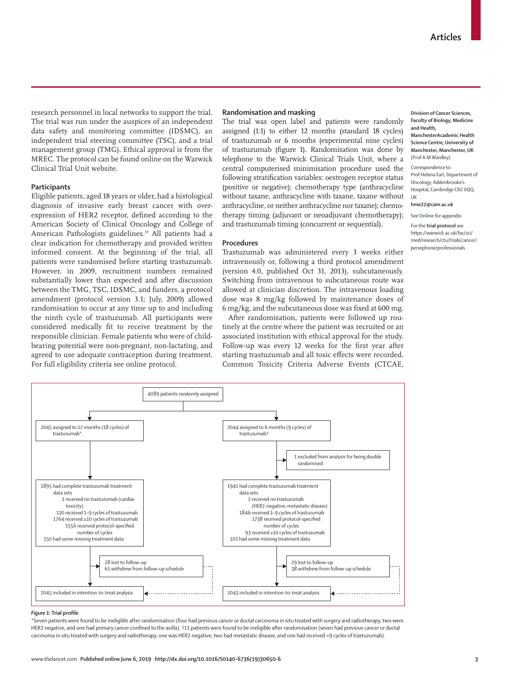research personnel in local networks to support the trial. The trial was run under the auspices of an independent data safety and monitoring committee (IDSMC), an independent trial steering committee (TSC), and a trial management group (TMG). Ethical approval is from the MREC. The [protocol](https://warwick.ac.uk/fac/sci/med/research/ctu/trials/cancer/persephone/professionals) can be found online on the Warwick Clinical Trial Unit website.

#### **Participants**

Eligible patients, aged 18 years or older, had a histological diagnosis of invasive early breast cancer with overexpression of HER2 receptor, defined according to the American Society of Clinical Oncology and College of American Pathologists guidelines.<sup>19</sup> All patients had a clear indication for chemotherapy and provided written informed consent. At the beginning of the trial, all patients were randomised before starting trastuzumab. However, in 2009, recruitment numbers remained substantially lower than expected and after discussion between the TMG, TSC, IDSMC, and funders, a protocol amendment (protocol version 3.1; July, 2009) allowed randomisation to occur at any time up to and including the ninth cycle of trastuzumab. All participants were considered medically fit to receive treatment by the responsible clinician. Female patients who were of childbearing potential were non-pregnant, non-lactating, and agreed to use adequate contraception during treatment. For full eligibility criteria see online protocol.

#### **Randomisation and masking**

The trial was open label and patients were randomly assigned (1:1) to either 12 months (standard 18 cycles) of trastuzumab or 6 months (experimental nine cycles) of trastuzumab (figure 1). Randomisation was done by telephone to the Warwick Clinical Trials Unit, where a central computerised minimisation procedure used the following stratification variables: oestrogen receptor status (positive or negative); chemotherapy type (anthracycline without taxane, anthracycline with taxane, taxane without anthracycline, or neither anthracycline nor taxane); chemotherapy timing (adjuvant or neoadjuvant chemotherapy); and trastuzumab timing (concurrent or sequential).

#### **Procedures**

Trastuzumab was administered every 3 weeks either intravenously or, following a third protocol amendment (version 4.0, published Oct 31, 2013), subcutaneously. Switching from intravenous to subcutaneous route was allowed at clinician discretion. The intravenous loading dose was 8 mg/kg followed by maintenance doses of 6 mg/kg, and the subcutaneous dose was fixed at 600 mg.

After randomisation, patients were followed up routinely at the centre where the patient was recruited or an associated institution with ethical approval for the study. Follow-up was every 12 weeks for the first year after starting trastuzumab and all toxic effects were recorded. Common Toxicity Criteria Adverse Events (CTCAE,



**ManchesterAcademic Health Science Centre, University of Manchester, Manchester, UK**  (Prof A M Wardley)

Correspondence to: Prof Helena Earl, Department of Oncology, Addenbrooke's Hospital, Cambridge CB2 0QQ, UK

#### **hme22@cam.ac.uk**

See **Online** for appendix

For the **trial protocol** see [https://warwick.ac.uk/fac/sci/](https://warwick.ac.uk/fac/sci/med/research/ctu/trials/cancer/persephone/professionals) [med/research/ctu/trials/cancer/](https://warwick.ac.uk/fac/sci/med/research/ctu/trials/cancer/persephone/professionals) [persephone/professionals](https://warwick.ac.uk/fac/sci/med/research/ctu/trials/cancer/persephone/professionals)



#### *Figure 1:* **Trial profile**

\*Seven patients were found to be ineligible after randomisation (four had previous cancer or ductal carcinoma in situ treated with surgery and radiotherapy, two were HER2 negative, and one had primary cancer confined to the axilla). †11 patients were found to be ineligible after randomisation (seven had previous cancer or ductal carcinoma in situ treated with surgery and radiotherapy, one was HER2 negative, two had metastatic disease, and one had received >9 cycles of trastuzumab).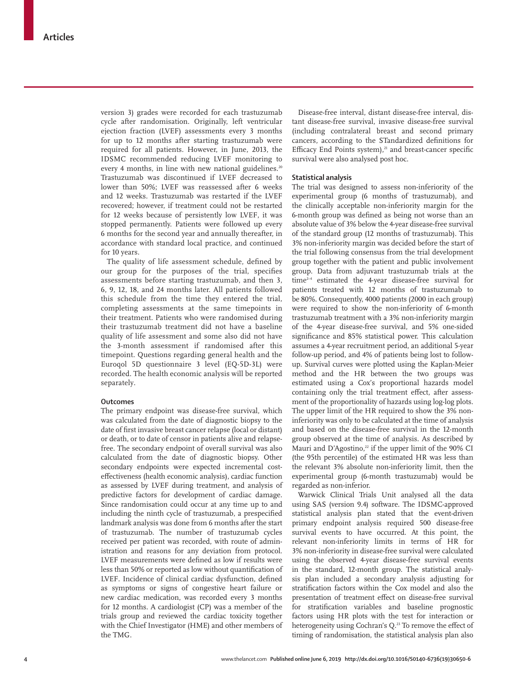version 3) grades were recorded for each trastuzumab cycle after randomisation. Originally, left ventricular ejection fraction (LVEF) assessments every 3 months for up to 12 months after starting trastuzumab were required for all patients. However, in June, 2013, the IDSMC recommended reducing LVEF monitoring to every 4 months, in line with new national guidelines.<sup>20</sup> Trastuzumab was discontinued if LVEF decreased to lower than 50%; LVEF was reassessed after 6 weeks and 12 weeks. Trastuzumab was restarted if the LVEF recovered; however, if treatment could not be restarted for 12 weeks because of persistently low LVEF, it was stopped permanently. Patients were followed up every 6 months for the second year and annually thereafter, in accordance with standard local practice, and continued for 10 years.

The quality of life assessment schedule, defined by our group for the purposes of the trial, specifies assessments before starting trastuzumab, and then 3, 6, 9, 12, 18, and 24 months later. All patients followed this schedule from the time they entered the trial, completing assessments at the same timepoints in their treatment. Patients who were randomised during their trastuzumab treatment did not have a baseline quality of life assessment and some also did not have the 3-month assessment if randomised after this timepoint. Questions regarding general health and the Euroqol 5D questionnaire 3 level (EQ-5D-3L) were recorded. The health economic analysis will be reported separately.

#### **Outcomes**

The primary endpoint was disease-free survival, which was calculated from the date of diagnostic biopsy to the date of first invasive breast cancer relapse (local or distant) or death, or to date of censor in patients alive and relapsefree. The secondary endpoint of overall survival was also calculated from the date of diagnostic biopsy. Other secondary endpoints were expected incremental costeffectiveness (health economic analysis), cardiac function as assessed by LVEF during treatment, and analysis of predictive factors for development of cardiac damage. Since randomisation could occur at any time up to and including the ninth cycle of trastuzumab, a prespecified landmark analysis was done from 6 months after the start of trastuzumab. The number of trastuzumab cycles received per patient was recorded, with route of administration and reasons for any deviation from protocol. LVEF measurements were defined as low if results were less than 50% or reported as low without quantification of LVEF. Incidence of clinical cardiac dysfunction, defined as symptoms or signs of congestive heart failure or new cardiac medication, was recorded every 3 months for 12 months. A cardiologist (CP) was a member of the trials group and reviewed the cardiac toxicity together with the Chief Investigator (HME) and other members of the TMG.

Disease-free interval, distant disease-free interval, distant disease-free survival, invasive disease-free survival (including contralateral breast and second primary cancers, according to the STandardized definitions for Efficacy End Points system), $^{21}$  and breast-cancer specific survival were also analysed post hoc.

### **Statistical analysis**

The trial was designed to assess non-inferiority of the experimental group (6 months of trastuzumab), and the clinically acceptable non-inferiority margin for the 6-month group was defined as being not worse than an absolute value of 3% below the 4-year disease-free survival of the standard group (12 months of trastuzumab). This 3% non-inferiority margin was decided before the start of the trial following consensus from the trial development group together with the patient and public involvement group. Data from adjuvant trastuzumab trials at the time2–4 estimated the 4-year disease-free survival for patients treated with 12 months of trastuzumab to be 80%. Consequently, 4000 patients (2000 in each group) were required to show the non-inferiority of 6-month trastuzumab treatment with a 3% non-inferiority margin of the 4-year disease-free survival, and 5% one-sided significance and 85% statistical power. This calculation assumes a 4-year recruitment period, an additional 5-year follow-up period, and 4% of patients being lost to followup. Survival curves were plotted using the Kaplan-Meier method and the HR between the two groups was estimated using a Cox's proportional hazards model containing only the trial treatment effect, after assessment of the proportionality of hazards using log-log plots. The upper limit of the HR required to show the 3% noninferiority was only to be calculated at the time of analysis and based on the disease-free survival in the 12-month group observed at the time of analysis. As described by Mauri and D'Agostino,<sup>22</sup> if the upper limit of the 90% CI (the 95th percentile) of the estimated HR was less than the relevant 3% absolute non-inferiority limit, then the experimental group (6-month trastuzumab) would be regarded as non-inferior.

Warwick Clinical Trials Unit analysed all the data using SAS (version 9.4) software. The IDSMC-approved statistical analysis plan stated that the event-driven primary endpoint analysis required 500 disease-free survival events to have occurred. At this point, the relevant non-inferiority limits in terms of HR for 3% non-inferiority in disease-free survival were calculated using the observed 4-year disease-free survival events in the standard, 12-month group. The statistical analysis plan included a secondary analysis adjusting for stratification factors within the Cox model and also the presentation of treatment effect on disease-free survival for stratification variables and baseline prognostic factors using HR plots with the test for interaction or heterogeneity using Cochran's Q.<sup>23</sup> To remove the effect of timing of randomisation, the statistical analysis plan also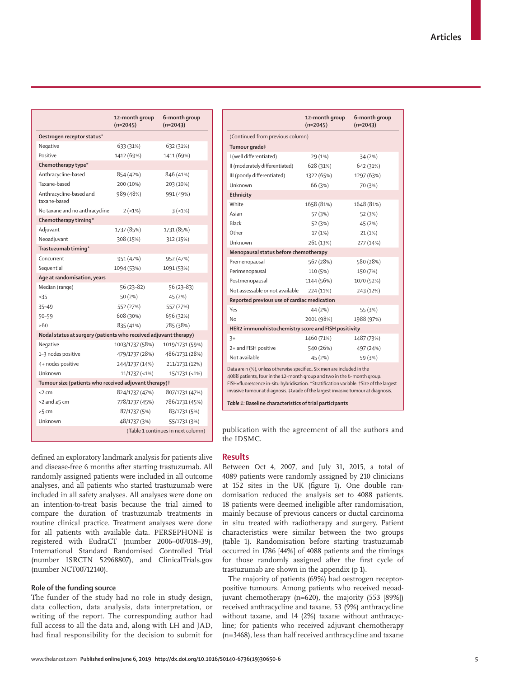|                                                                   | 12-month group<br>$(n=2045)$       | 6-month group<br>$(n=2043)$ |  |  |  |
|-------------------------------------------------------------------|------------------------------------|-----------------------------|--|--|--|
| Oestrogen receptor status*                                        |                                    |                             |  |  |  |
| Negative                                                          | 633 (31%)                          | 632 (31%)                   |  |  |  |
| Positive                                                          | 1412 (69%)                         | 1411 (69%)                  |  |  |  |
| Chemotherapy type*                                                |                                    |                             |  |  |  |
| Anthracycline-based                                               | 854 (42%)                          | 846 (41%)                   |  |  |  |
| Taxane-hased                                                      | 200 (10%)                          | 203 (10%)                   |  |  |  |
| Anthracycline-based and<br>taxane-based                           | 989 (48%)                          | 991 (49%)                   |  |  |  |
| No taxane and no anthracycline                                    | $2(-1%)$                           | 3(1%)                       |  |  |  |
| Chemotherapy timing*                                              |                                    |                             |  |  |  |
| Adjuvant                                                          | 1737 (85%)                         | 1731 (85%)                  |  |  |  |
| Neoadjuvant                                                       | 308 (15%)                          | 312 (15%)                   |  |  |  |
| Trastuzumab timing*                                               |                                    |                             |  |  |  |
| Concurrent                                                        | 951 (47%)                          | 952 (47%)                   |  |  |  |
| Sequential                                                        | 1094 (53%)                         | 1091 (53%)                  |  |  |  |
| Age at randomisation, years                                       |                                    |                             |  |  |  |
| Median (range)                                                    | $56(23-82)$                        | $56(23-83)$                 |  |  |  |
| < 35                                                              | 50 (2%)                            | 45 (2%)                     |  |  |  |
| $35 - 49$                                                         | 552 (27%)                          | 557 (27%)                   |  |  |  |
| 50-59                                                             | 608 (30%)                          | 656 (32%)                   |  |  |  |
| >60                                                               | 835 (41%)                          | 785 (38%)                   |  |  |  |
| Nodal status at surgery (patients who received adjuvant therapy)  |                                    |                             |  |  |  |
| Negative                                                          | 1003/1737 (58%)                    | 1019/1731 (59%)             |  |  |  |
| 1-3 nodes positive                                                | 479/1737 (28%)                     | 486/1731 (28%)              |  |  |  |
| 4+ nodes positive                                                 | 244/1737 (14%)                     | 211/1731 (12%)              |  |  |  |
| Unknown                                                           | $11/1737$ (<1%)                    | 15/1731 (<1%)               |  |  |  |
| Tumour size (patients who received adjuvant therapy) <sup>†</sup> |                                    |                             |  |  |  |
| $\leq$ 2 cm                                                       | 824/1737 (47%)                     | 807/1731 (47%)              |  |  |  |
| $>2$ and $\leq$ 5 cm                                              | 778/1737 (45%)                     | 786/1731 (45%)              |  |  |  |
| $>5$ cm                                                           | 87/1737 (5%)                       | 83/1731 (5%)                |  |  |  |
| Unknown                                                           | 48/1737 (3%)                       | 55/1731 (3%)                |  |  |  |
|                                                                   | (Table 1 continues in next column) |                             |  |  |  |

|                                                                                                                                                                                                                                                                                                                                    | 12-month group<br>$(n=2045)$ | 6-month group<br>$(n=2043)$ |
|------------------------------------------------------------------------------------------------------------------------------------------------------------------------------------------------------------------------------------------------------------------------------------------------------------------------------------|------------------------------|-----------------------------|
| (Continued from previous column)                                                                                                                                                                                                                                                                                                   |                              |                             |
| Tumour grade‡                                                                                                                                                                                                                                                                                                                      |                              |                             |
| I (well differentiated)                                                                                                                                                                                                                                                                                                            | 29 (1%)                      | 34(2%)                      |
| II (moderately differentiated)                                                                                                                                                                                                                                                                                                     | 628 (31%)                    | 642 (31%)                   |
| III (poorly differentiated)                                                                                                                                                                                                                                                                                                        | 1322 (65%)                   | 1297 (63%)                  |
| Unknown                                                                                                                                                                                                                                                                                                                            | 66 (3%)                      | 70 (3%)                     |
| Ethnicity                                                                                                                                                                                                                                                                                                                          |                              |                             |
| White                                                                                                                                                                                                                                                                                                                              | 1658 (81%)                   | 1648 (81%)                  |
| Asian                                                                                                                                                                                                                                                                                                                              | 57 (3%)                      | 52 (3%)                     |
| Black                                                                                                                                                                                                                                                                                                                              | 52 (3%)                      | 45 (2%)                     |
| Other                                                                                                                                                                                                                                                                                                                              | 17 (1%)                      | 21(1%)                      |
| Unknown                                                                                                                                                                                                                                                                                                                            | 261 (13%)                    | 277 (14%)                   |
| Menopausal status before chemotherapy                                                                                                                                                                                                                                                                                              |                              |                             |
| Premenopausal                                                                                                                                                                                                                                                                                                                      | 567 (28%)                    | 580 (28%)                   |
| Perimenopausal                                                                                                                                                                                                                                                                                                                     | 110 (5%)                     | 150 (7%)                    |
| Postmenopausal                                                                                                                                                                                                                                                                                                                     | 1144 (56%)                   | 1070 (52%)                  |
| Not assessable or not available                                                                                                                                                                                                                                                                                                    | 224 (11%)                    | 243 (12%)                   |
| Reported previous use of cardiac medication                                                                                                                                                                                                                                                                                        |                              |                             |
| Yes                                                                                                                                                                                                                                                                                                                                | 44 (2%)                      | 55 (3%)                     |
| Nο                                                                                                                                                                                                                                                                                                                                 | 2001 (98%)                   | 1988 (97%)                  |
| HER2 immunohistochemistry score and FISH positivity                                                                                                                                                                                                                                                                                |                              |                             |
| $3+$                                                                                                                                                                                                                                                                                                                               | 1460 (71%)                   | 1487 (73%)                  |
| 2+ and FISH positive                                                                                                                                                                                                                                                                                                               | 540 (26%)                    | 497 (24%)                   |
| Not available                                                                                                                                                                                                                                                                                                                      | 45 (2%)                      | 59 (3%)                     |
| Data are n (%), unless otherwise specified. Six men are included in the<br>4088 patients, four in the 12-month group and two in the 6-month group.<br>FISH=fluorescence in-situ hybridisation. *Stratification variable. †Size of the largest<br>invasive tumour at diagnosis. #Grade of the largest invasive tumour at diagnosis. |                              |                             |

publication with the agreement of all the authors and the IDSMC.

## **Results**

and disease-free 6 months after starting trastuzumab. All randomly assigned patients were included in all outcome analyses, and all patients who started trastuzumab were included in all safety analyses. All analyses were done on an intention-to-treat basis because the trial aimed to compare the duration of trastuzumab treatments in Between Oct 4, 2007, and July 31, 2015, a total of 4089 patients were randomly assigned by 210 clinicians at 152 sites in the UK (figure 1). One double randomisation reduced the analysis set to 4088 patients. 18 patients were deemed ineligible after randomisation, mainly because of previous cancers or ductal carcinoma in situ treated with radiotherapy and surgery. Patient characteristics were similar between the two groups (table 1). Randomisation before starting trastuzumab occurred in 1786 [44%] of 4088 patients and the timings for those randomly assigned after the first cycle of trastuzumab are shown in the appendix (p 1).

The majority of patients (69%) had oestrogen receptorpositive tumours. Among patients who received neoadjuvant chemotherapy (n=620), the majority (553 [89%]) received anthracycline and taxane, 53 (9%) anthracycline without taxane, and 14 (2%) taxane without anthracycline; for patients who received adjuvant chemotherapy (n=3468), less than half received anthracycline and taxane

routine clinical practice. Treatment analyses were done for all patients with available data. PERSEPHONE is registered with EudraCT (number 2006–007018–39), International Standard Randomised Controlled Trial (number ISRCTN 52968807), and ClinicalTrials.gov (number NCT00712140).

## **Role of the funding source**

The funder of the study had no role in study design, data collection, data analysis, data interpretation, or writing of the report. The corresponding author had full access to all the data and, along with LH and JAD, had final responsibility for the decision to submit for

defined an exploratory landmark analysis for patients alive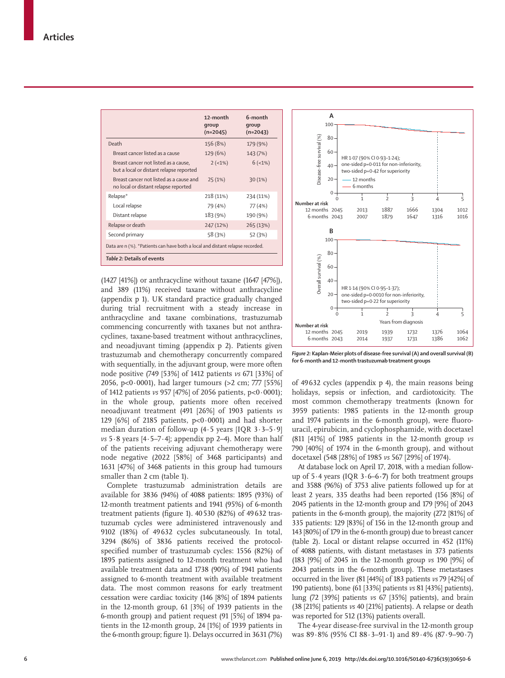|                                                                                 | 12-month<br>qroup<br>$(n=2045)$ | 6-month<br>qroup<br>$(n=2043)$ |  |  |  |
|---------------------------------------------------------------------------------|---------------------------------|--------------------------------|--|--|--|
| Death                                                                           | 156 (8%)                        | 179 (9%)                       |  |  |  |
| Breast cancer listed as a cause                                                 | 129 (6%)                        | 143 (7%)                       |  |  |  |
| Breast cancer not listed as a cause,<br>but a local or distant relapse reported | $2 (-1%)$                       | 6(1%)                          |  |  |  |
| Breast cancer not listed as a cause and<br>no local or distant relapse reported | 25(1%)                          | 30(1%)                         |  |  |  |
| Relapse*                                                                        | 218 (11%)                       | 234 (11%)                      |  |  |  |
| Local relapse                                                                   | 79 (4%)                         | 77 (4%)                        |  |  |  |
| Distant relapse                                                                 | 183 (9%)                        | 190 (9%)                       |  |  |  |
| Relapse or death                                                                | 247 (12%)                       | 265 (13%)                      |  |  |  |
| Second primary                                                                  | 58 (3%)                         | 52 (3%)                        |  |  |  |
| Data are n (%). *Patients can have both a local and distant relapse recorded.   |                                 |                                |  |  |  |
| Table 2: Details of events                                                      |                                 |                                |  |  |  |

(1427 [41%]) or anthracycline without taxane (1647 [47%]), and 389 (11%) received taxane without anthracycline (appendix p 1). UK standard practice gradually changed during trial recruitment with a steady increase in anthracycline and taxane combinations, trastuzumab commencing concurrently with taxanes but not anthracyclines, taxane-based treatment without anthracyclines, and neoadjuvant timing (appendix p 2). Patients given trastuzumab and chemotherapy concurrently compared with sequentially, in the adjuvant group, were more often node positive (749 [53%] of 1412 patients *vs* 671 [33%] of 2056, p<0·0001), had larger tumours (>2 cm; 777 [55%] of 1412 patients *vs* 957 [47%] of 2056 patients, p<0·0001); in the whole group, patients more often received neoadjuvant treatment (491 [26%] of 1903 patients *vs* 129  $[6\%]$  of 2185 patients,  $p<0.0001$  and had shorter median duration of follow-up (4·5 years [IQR 3·3–5·9] *vs* 5·8 years [4·5–7·4]; appendix pp 2–4). More than half of the patients receiving adjuvant chemotherapy were node negative (2022 [58%] of 3468 participants) and 1631 [47%] of 3468 patients in this group had tumours smaller than 2 cm (table 1).

Complete trastuzumab administration details are available for 3836 (94%) of 4088 patients: 1895 (93%) of 12-month treatment patients and 1941 (95%) of 6-month treatment patients (figure 1). 40530 (82%) of 49632 trastuzumab cycles were administered intravenously and 9102 (18%) of 49632 cycles subcutaneously. In total, 3294 (86%) of 3836 patients received the protocolspecified number of trastuzumab cycles: 1556 (82%) of 1895 patients assigned to 12-month treatment who had available treatment data and 1738 (90%) of 1941 patients assigned to 6-month treatment with available treatment data. The most common reasons for early treatment cessation were cardiac toxicity (146 [8%] of 1894 patients in the 12-month group, 61 [3%] of 1939 patients in the 6-month group) and patient request (91 [5%] of 1894 patients in the 12-month group, 24 [1%] of 1939 patients in the 6-month group; figure 1). Delays occurred in 3631 (7%)



*Figure 2:* **Kaplan-Meier plots of disease-free survival (A) and overall survival (B) for 6-month and 12-month trastuzumab treatment groups**

of 49632 cycles (appendix p 4), the main reasons being holidays, sepsis or infection, and cardiotoxicity. The most common chemotherapy treatments (known for 3959 patients: 1985 patients in the 12-month group and 1974 patients in the 6-month group), were fluorouracil, epirubicin, and cyclophosphamide, with docetaxel (811 [41%] of 1985 patients in the 12-month group *vs* 790 [40%] of 1974 in the 6-month group), and without docetaxel (548 [28%] of 1985 *vs* 567 [29%] of 1974).

At database lock on April 17, 2018, with a median followup of 5·4 years (IQR 3·6–6**·7**) for both treatment groups and 3588 (96%) of 3753 alive patients followed up for at least 2 years, 335 deaths had been reported (156 [8%] of 2045 patients in the 12-month group and 179 [9%] of 2043 patients in the 6-month group), the majority (272 [81%] of 335 patients: 129 [83%] of 156 in the 12-month group and 143 [80%] of 179 in the 6-month group) due to breast cancer (table 2). Local or distant relapse occurred in 452 (11%) of 4088 patients, with distant metastases in 373 patients (183 [9%] of 2045 in the 12-month group *vs* 190 [9%] of 2043 patients in the 6-month group). These metastases occurred in the liver (81 [44%] of 183 patients *vs* 79 [42%] of 190 patients), bone (61 [33%] patients *vs* 81 [43%] patients), lung (72 [39%] patients *vs* 67 [35%] patients), and brain (38 [21%] patients *vs* 40 [21%] patients). A relapse or death was reported for 512 (13%) patients overall.

The 4-year disease-free survival in the 12-month group was 89·8% (95% CI 88·3–91·1) and 89·4% (87·9–90·7)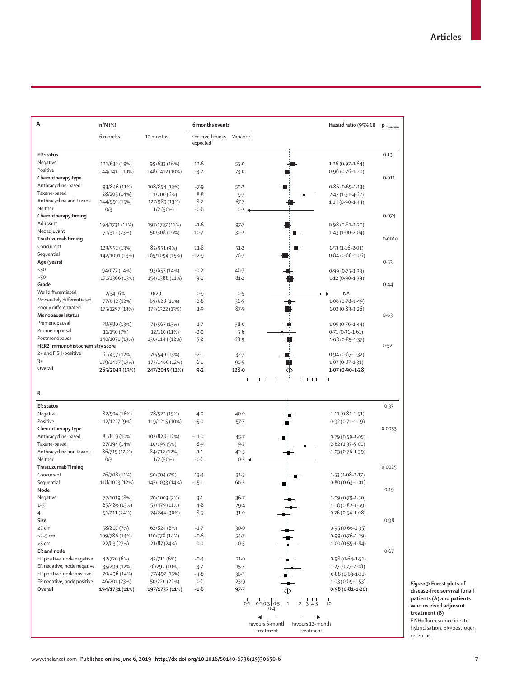| A                                          | n/N (%)        |                | 6 months events            |                     |                                                  | Hazard ratio (95% CI) |        |
|--------------------------------------------|----------------|----------------|----------------------------|---------------------|--------------------------------------------------|-----------------------|--------|
|                                            | 6 months       | 12 months      | Observed minus<br>expected | Variance            |                                                  |                       |        |
| <b>ER</b> status                           |                |                |                            |                     |                                                  |                       | 0.13   |
| Negative                                   | 121/632 (19%)  | 99/633 (16%)   | 12.6                       | 55.0                |                                                  | $1.26(0.97-1.64)$     |        |
| Positive                                   | 144/1411 (10%) | 148/1412 (10%) | $-3.2$                     | 73.0                |                                                  | $0.96(0.76 - 1.20)$   |        |
| Chemotherapy type                          |                |                |                            |                     |                                                  |                       | 0.011  |
| Anthracycline-based                        | 93/846 (11%)   | 108/854 (13%)  | $-7.9$                     | 50.2                |                                                  | $0.86(0.65 - 1.13)$   |        |
| Taxane-based                               | 28/203 (14%)   | 11/200 (6%)    | 8.8                        | 9.7                 |                                                  | $2.47(1.31 - 4.62)$   |        |
| Anthracycline and taxane                   | 144/991 (15%)  | 127/989 (13%)  | $8-7$                      | $67 - 7$            |                                                  | $1.14(0.90 - 1.44)$   |        |
| Neither                                    | 0/3            | 1/2 (50%)      | $-0.6$                     | $0.2 \triangleleft$ |                                                  |                       |        |
| Chemotherapy timing                        |                |                |                            |                     |                                                  |                       | 0.074  |
| Adjuvant                                   | 194/1731 (11%) | 197/1737 (11%) | $-1.6$                     | $97 - 7$            |                                                  | $0.98(0.81 - 1.20)$   |        |
| Neoadjuvant                                | 71/312 (23%)   | 50/308 (16%)   | $10-7$                     | 30.2                |                                                  | $1.43(1.00-2.04)$     |        |
| Trastuzumab timing                         |                |                |                            |                     |                                                  |                       | 0.0010 |
| Concurrent                                 | 123/952 (13%)  | 82/951 (9%)    | 21.8                       | 51.2                |                                                  | $1.53(1.16-2.01)$     |        |
| Sequential                                 | 142/1091 (13%) | 165/1094 (15%) | $-12.9$                    | $76 - 7$            |                                                  | $0.84(0.68 - 1.06)$   |        |
| Age (years)                                |                |                |                            |                     |                                                  |                       | 0.53   |
| ≤50                                        | 94/677 (14%)   | 93/657 (14%)   | $-0.2$                     | $46 - 7$            |                                                  | $0.99(0.75 - 1.33)$   |        |
| >50<br>Grade                               | 171/1366 (13%) | 154/1388 (11%) | 9.0                        | 81.2                |                                                  | 1.12 (0.90-1.39)      |        |
| Well differentiated                        |                |                |                            |                     |                                                  |                       | 0.44   |
| Moderately differentiated                  | 2/34(6%)       | 0/29           | 0.9                        | 0.5                 |                                                  | <b>NA</b>             |        |
|                                            | 77/642 (12%)   | 69/628 (11%)   | 2.8                        | 36.5                |                                                  | $1.08(0.78 - 1.49)$   |        |
| Poorly differentiated<br>Menopausal status | 175/1297 (13%) | 175/1322 (13%) | 1.9                        | 87.5                |                                                  | $1.02(0.83 - 1.26)$   |        |
|                                            |                |                |                            |                     |                                                  |                       | 0.63   |
| Premenopausal                              | 78/580 (13%)   | 74/567 (13%)   | $1-7$                      | 38.0                |                                                  | $1.05(0.76 - 1.44)$   |        |
| Perimenopausal<br>Postmenopausal           | 11/150 (7%)    | 12/110 (11%)   | $-2.0$                     | 5.6                 |                                                  | $0.71(0.31 - 1.61)$   |        |
| HER2 immunohistochemistry score            | 140/1070 (13%) | 136/1144 (12%) | 5.2                        | 68.9                |                                                  | $1.08(0.85 - 1.37)$   | 0.52   |
| 2+ and FISH-positive                       |                |                |                            |                     |                                                  |                       |        |
| $3+$                                       | 61/497 (12%)   | 70/540 (13%)   | $-2.1$                     | $32 - 7$            |                                                  | $0.94(0.67-1.32)$     |        |
| Overall                                    | 189/1487 (13%) | 173/1460 (12%) | 6.1<br>$9 - 2$             | 90.5<br>128.0       |                                                  | $1.07(0.87 - 1.31)$   |        |
|                                            | 265/2043 (13%) | 247/2045 (12%) |                            |                     |                                                  | $1.07(0.90 - 1.28)$   |        |
|                                            |                |                |                            |                     |                                                  |                       |        |
| B                                          |                |                |                            |                     |                                                  |                       |        |
|                                            |                |                |                            |                     |                                                  |                       |        |
| <b>ER</b> status                           |                |                |                            |                     |                                                  |                       | 0.37   |
| Negative                                   | 82/504 (16%)   | 78/522 (15%)   | $4-0$                      | $40 - 0$            |                                                  | $1.11(0.81 - 1.51)$   |        |
| Positive                                   | 112/1227 (9%)  | 119/1215 (10%) | $-5.0$                     | $57 - 7$            |                                                  | $0.92(0.71 - 1.19)$   |        |
| Chemotherapy type                          |                |                |                            |                     |                                                  |                       | 0.0053 |
| Anthracycline-based                        | 81/819 (10%)   | 102/828 (12%)  | $-11.0$                    | $45 - 7$            |                                                  | $0.79(0.59 - 1.05)$   |        |
| Taxane-based                               | 27/194 (14%)   | 10/195 (5%)    | 8.9                        | 9.2                 |                                                  | $2.62(1.37 - 5.00)$   |        |
| Anthracycline and taxane                   | 86/715 (12.%)  | 84/712 (12%)   | $1-1$                      | 42.5                |                                                  | $1.03(0.76 - 1.39)$   |        |
| Neither                                    | 0/3            | 1/2(50%)       | $-0.6$                     | 0.2                 |                                                  |                       |        |
| <b>Trastuzumab Timing</b>                  |                |                |                            |                     |                                                  |                       | 0.0025 |
| Concurrent                                 | 76/708 (11%)   | 50/704 (7%)    | $13-4$                     | 31.5                |                                                  | $1.53(1.08-2.17)$     |        |
| Sequential                                 | 118/1023 (12%) | 147/1033 (14%) | $-15.1$                    | 66.2                |                                                  | $0.80(0.63 - 1.01)$   |        |
| Node                                       |                |                |                            |                     |                                                  |                       | 0.19   |
| Negative                                   | 77/1019 (8%)   | 70/1003 (7%)   | $3-1$                      | 36.7                |                                                  | $1.09(0.79-1.50)$     |        |
| $1 - 3$                                    | 65/486 (13%)   | 53/479 (11%)   | $4 - 8$                    | $29-4$              |                                                  | $1.18(0.82 - 1.69)$   |        |
| $4+$                                       | 51/211 (24%)   | 74/244 (30%)   | $-8.5$                     | 31.0                |                                                  | $0.76(0.54 - 1.08)$   |        |
| Size                                       |                |                |                            |                     |                                                  |                       | 0.98   |
| $\leq$ 2 cm                                | 58/807 (7%)    | 62/824 (8%)    | $-1.7$                     | $30 - 0$            |                                                  | $0.95(0.66 - 1.35)$   |        |
| $>2-5$ cm                                  | 109/786 (14%)  | 110/778 (14%)  | $-0.6$                     | 54.7                |                                                  | $0.99(0.76 - 1.29)$   |        |
| $>5$ cm                                    | 22/83 (27%)    | 21/87 (24%)    | 0.0                        | $10-5$              |                                                  | $1.00(0.55 - 1.84)$   |        |
| ER and node                                |                |                |                            |                     |                                                  |                       | 0.67   |
| ER positive, node negative                 | 42/720 (6%)    | 42/711 (6%)    | $-0.4$                     | $21-0$              |                                                  | $0.98(0.64 - 1.51)$   |        |
| ER negative, node negative                 | 35/299 (12%)   | 28/292 (10%)   | $3-7$                      | $15-7$              |                                                  | $1.27(0.77 - 2.08)$   |        |
| ER positive, node positive                 | 70/496 (14%)   | 77/497 (15%)   | $-4.8$                     | $36 - 7$            |                                                  | $0.88(0.63 - 1.21)$   |        |
| ER negative, node positive                 | 46/201 (23%)   | 50/226 (22%)   | 0.6                        | 23.9                |                                                  | $1.03(0.69 - 1.53)$   |        |
| <b>Overall</b>                             | 194/1731 (11%) | 197/1737 (11%) | $-1.6$                     | $97 - 7$            |                                                  | $0.98(0.81 - 1.20)$   |        |
|                                            |                |                |                            |                     | $0.1$ $0.20.3$ 0.5<br>2, 3, 4, 5<br>$\mathbf{1}$ | 10                    |        |
|                                            |                |                |                            |                     | 0.4                                              |                       |        |
|                                            |                |                |                            |                     | ↞                                                |                       |        |
|                                            |                |                |                            |                     | Favours 6-month Favours 12-month                 |                       |        |
|                                            |                |                |                            |                     | treatment<br>treatment                           |                       |        |

*Figure 3:* **Forest plots of disease-free survival for all patients (A) and patients who received adjuvant treatment (B)** FISH=fluorescence in-situ hybridisation. ER=oestrogen receptor.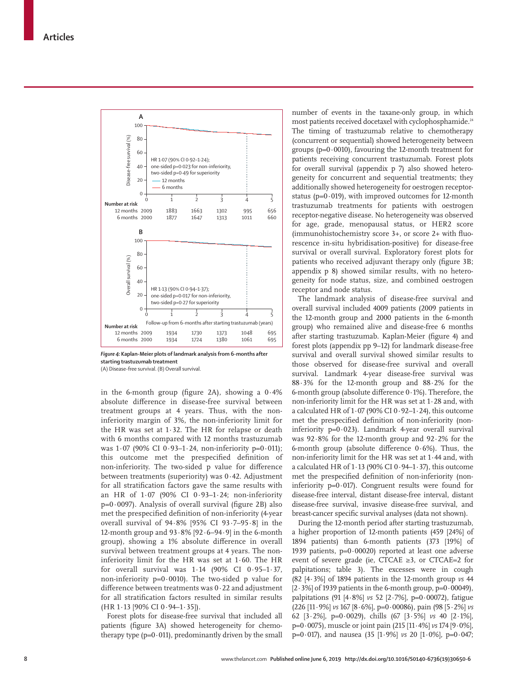

*Figure 4:* **Kaplan-Meier plots of landmark analysis from 6-months after starting trastuzumab treatment**

(A) Disease-free survival. (B) Overall survival.

in the 6-month group (figure 2A), showing a 0·4% absolute difference in disease-free survival between treatment groups at 4 years. Thus, with the noninferiority margin of 3%, the non-inferiority limit for the HR was set at 1·32. The HR for relapse or death with 6 months compared with 12 months trastuzumab was 1·07 (90% CI 0·93–1·24, non-inferiority p=0·011); this outcome met the prespecified definition of non-inferiority. The two-sided p value for difference between treatments (superiority) was 0·42. Adjustment for all stratification factors gave the same results with an HR of 1·07 (90% CI 0·93–1·24; non-inferiority  $p=0.0097$ ). Analysis of overall survival (figure 2B) also met the prespecified definition of non-inferiority (4-year overall survival of 94·8% [95% CI 93·7–95·8] in the 12-month group and 93·8% [92·6–94·9] in the 6-month group), showing a 1% absolute difference in overall survival between treatment groups at 4 years. The noninferiority limit for the HR was set at 1·60. The HR for overall survival was  $1.14$  (90% CI  $0.95-1.37$ , non-inferiority  $p=0.0010$ ). The two-sided p value for difference between treatments was 0·22 and adjustment for all stratification factors resulted in similar results (HR 1·13 [90% CI 0·94–1·35]).

Forest plots for disease-free survival that included all patients (figure 3A) showed heterogeneity for chemotherapy type ( $p=0.011$ ), predominantly driven by the small number of events in the taxane-only group, in which most patients received docetaxel with cyclophosphamide.<sup>24</sup> The timing of trastuzumab relative to chemotherapy (concurrent or sequential) showed heterogeneity between groups ( $p=0.0010$ ), favouring the 12-month treatment for patients receiving concurrent trastuzumab. Forest plots for overall survival (appendix p 7) also showed heterogeneity for concurrent and sequential treatments; they additionally showed heterogeneity for oestrogen receptorstatus ( $p=0.019$ ), with improved outcomes for 12-month trastuzumab treatments for patients with oestrogen receptor-negative disease. No heterogeneity was observed for age, grade, menopausal status, or HER2 score (immunohistochemistry score 3+, or score 2+ with fluorescence in-situ hybridisation-positive) for disease-free survival or overall survival. Exploratory forest plots for patients who received adjuvant therapy only (figure 3B; appendix p 8) showed similar results, with no heterogeneity for node status, size, and combined oestrogen receptor and node status.

The landmark analysis of disease-free survival and overall survival included 4009 patients (2009 patients in the 12-month group and 2000 patients in the 6-month group) who remained alive and disease-free 6 months after starting trastuzumab. Kaplan-Meier (figure 4) and forest plots (appendix pp 9–12) for landmark disease-free survival and overall survival showed similar results to those observed for disease-free survival and overall survival. Landmark 4-year disease-free survival was 88·3% for the 12-month group and 88·2% for the 6-month group (absolute difference 0·1%). Therefore, the non-inferiority limit for the HR was set at 1·28 and, with a calculated HR of  $1.07$  (90% CI 0 $.92-1.24$ ), this outcome met the prespecified definition of non-inferiority (noninferiority  $p=0.023$ ). Landmark 4-year overall survival was 92·8% for the 12-month group and 92·2% for the 6-month group (absolute difference 0·6%). Thus, the non-inferiority limit for the HR was set at 1·44 and, with a calculated HR of  $1.13$  (90% CI  $0.94-1.37$ ), this outcome met the prespecified definition of non-inferiority (noninferiority  $p=0.017$ ). Congruent results were found for disease-free interval, distant disease-free interval, distant disease-free survival, invasive disease-free survival, and breast-cancer specific survival analyses (data not shown).

During the 12-month period after starting trastuzumab, a higher proportion of 12-month patients (459 [24%] of 1894 patients) than 6-month patients (373 [19%] of 1939 patients,  $p=0.00020$ ) reported at least one adverse event of severe grade (ie, CTCAE ≥3, or CTCAE=2 for palpitations; table 3). The excesses were in cough (82 [4·3%] of 1894 patients in the 12-month group *vs* 44  $[2.3\%]$  of 1939 patients in the 6-month group, p=0.00049), palpitations (91 [4·8%] *vs* 52 [2·7%], p=0·00072), fatigue (226 [11·9%] *vs* 167 [8·6%], p=0·00086), pain (98 [5·2%] *vs* 62 [3·2%], p=0·0029), chills (67 [3·5%] *vs* 40 [2·1%], p=0·0075), muscle or joint pain (215 [11·4%] *vs* 174 [9·0%], p=0·017), and nausea (35 [1·9%] *vs* 20 [1·0%], p=0·047;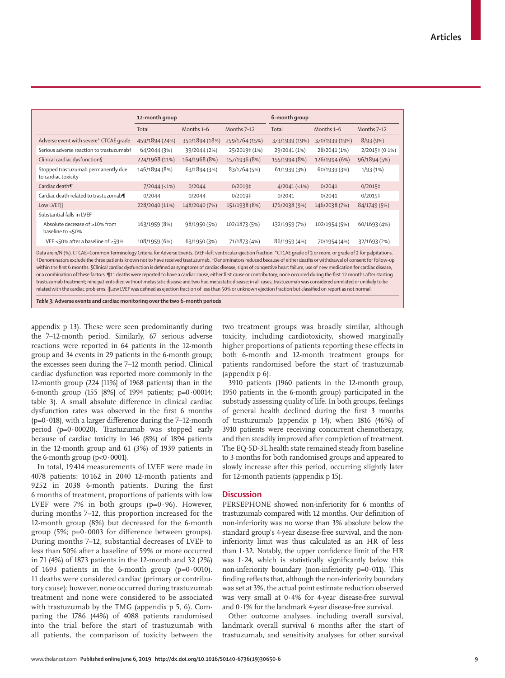| 12-month group                                                                                                                                                                                                                                                                                                                                                                                                                                                                                                                                                                                                                                                                                                                                                                                                                                                                                                                                                                                                                                                                      |                |                | 6-month group  |                |                |  |
|-------------------------------------------------------------------------------------------------------------------------------------------------------------------------------------------------------------------------------------------------------------------------------------------------------------------------------------------------------------------------------------------------------------------------------------------------------------------------------------------------------------------------------------------------------------------------------------------------------------------------------------------------------------------------------------------------------------------------------------------------------------------------------------------------------------------------------------------------------------------------------------------------------------------------------------------------------------------------------------------------------------------------------------------------------------------------------------|----------------|----------------|----------------|----------------|----------------|--|
| Total                                                                                                                                                                                                                                                                                                                                                                                                                                                                                                                                                                                                                                                                                                                                                                                                                                                                                                                                                                                                                                                                               | Months 1-6     | Months 7-12    | Total          | Months 1-6     | Months 7-12    |  |
| 459/1894 (24%)                                                                                                                                                                                                                                                                                                                                                                                                                                                                                                                                                                                                                                                                                                                                                                                                                                                                                                                                                                                                                                                                      | 350/1894 (18%) | 259/1764 (15%) | 373/1939 (19%) | 370/1939 (19%) | 8/93(9%)       |  |
| 64/2044 (3%)                                                                                                                                                                                                                                                                                                                                                                                                                                                                                                                                                                                                                                                                                                                                                                                                                                                                                                                                                                                                                                                                        | 39/2044 (2%)   | 25/2019‡ (1%)  | 29/2041 (1%)   | 28/2041 (1%)   | 2/2015‡ (0.1%) |  |
| 224/1968 (11%)                                                                                                                                                                                                                                                                                                                                                                                                                                                                                                                                                                                                                                                                                                                                                                                                                                                                                                                                                                                                                                                                      | 164/1968 (8%)  | 157/1936 (8%)  | 155/1994 (8%)  | 126/1994 (6%)  | 96/1894 (5%)   |  |
| 146/1894 (8%)                                                                                                                                                                                                                                                                                                                                                                                                                                                                                                                                                                                                                                                                                                                                                                                                                                                                                                                                                                                                                                                                       | 63/1894 (3%)   | 83/1764 (5%)   | 61/1939 (3%)   | 60/1939 (3%)   | 1/93(1%)       |  |
| $7/2044$ (<1%)                                                                                                                                                                                                                                                                                                                                                                                                                                                                                                                                                                                                                                                                                                                                                                                                                                                                                                                                                                                                                                                                      | 0/2044         | $0/2019$ ‡     | $4/2041$ (<1%) | 0/2041         | $0/2015$ ‡     |  |
| 0/2044                                                                                                                                                                                                                                                                                                                                                                                                                                                                                                                                                                                                                                                                                                                                                                                                                                                                                                                                                                                                                                                                              | 0/2044         | $0/2019$ ‡     | 0/2041         | 0/2041         | $0/2015$ ‡     |  |
| 228/2040 (11%)                                                                                                                                                                                                                                                                                                                                                                                                                                                                                                                                                                                                                                                                                                                                                                                                                                                                                                                                                                                                                                                                      | 148/2040 (7%)  | 151/1938 (8%)  | 176/2038 (9%)  | 146/2038 (7%)  | 84/1749 (5%)   |  |
|                                                                                                                                                                                                                                                                                                                                                                                                                                                                                                                                                                                                                                                                                                                                                                                                                                                                                                                                                                                                                                                                                     |                |                |                |                |                |  |
| 163/1959 (8%)                                                                                                                                                                                                                                                                                                                                                                                                                                                                                                                                                                                                                                                                                                                                                                                                                                                                                                                                                                                                                                                                       | 98/1950 (5%)   | 102/1873 (5%)  | 132/1959 (7%)  | 102/1954 (5%)  | 60/1693 (4%)   |  |
| 108/1959 (6%)                                                                                                                                                                                                                                                                                                                                                                                                                                                                                                                                                                                                                                                                                                                                                                                                                                                                                                                                                                                                                                                                       | 63/1950 (3%)   | 71/1873 (4%)   | 86/1959 (4%)   | 70/1954 (4%)   | 32/1693 (2%)   |  |
| Data are n/N (%). CTCAE=Common Terminology Criteria for Adverse Events. LVEF=left ventricular ejection fraction. *CTCAE grade of 3 or more, or grade of 2 for palpitations.<br>†Denominators exclude the three patients known not to have received trastuzumab. ‡Denominators reduced because of either deaths or withdrawal of consent for follow-up<br>within the first 6 months. SClinical cardiac dysfunction is defined as symptoms of cardiac disease, signs of congestive heart failure, use of new medication for cardiac disease,<br>or a combination of these factors. I11 deaths were reported to have a cardiac cause, either first cause or contributory; none occurred during the first 12 months after starting<br>trastuzumab treatment; nine patients died without metastatic disease and two had metastatic disease; in all cases, trastuzumab was considered unrelated or unlikely to be<br>related with the cardiac problems.   Low LVEF was defined as ejection fraction of less than 50% or unknown ejection fraction but classified on report as not normal. |                |                |                |                |                |  |
|                                                                                                                                                                                                                                                                                                                                                                                                                                                                                                                                                                                                                                                                                                                                                                                                                                                                                                                                                                                                                                                                                     |                |                |                |                |                |  |

appendix p 13). These were seen predominantly during the 7–12-month period. Similarly, 67 serious adverse reactions were reported in 64 patients in the 12-month group and 34 events in 29 patients in the 6-month group; the excesses seen during the 7–12 month period. Clinical cardiac dysfunction was reported more commonly in the 12-month group (224 [11%] of 1968 patients) than in the 6-month group (155 [8%] of 1994 patients; p=0·00014; table 3). A small absolute difference in clinical cardiac dysfunction rates was observed in the first 6 months  $(p=0.018)$ , with a larger difference during the 7–12-month period (p=0·00020). Trastuzumab was stopped early because of cardiac toxicity in 146 (8%) of 1894 patients in the 12-month group and 61 (3%) of 1939 patients in the 6-month group ( $p<0.0001$ ).

In total, 19 414 measurements of LVEF were made in 4078 patients: 10 162 in 2040 12-month patients and 9252 in 2038 6-month patients. During the first 6 months of treatment, proportions of patients with low LVEF were 7% in both groups  $(p=0.96)$ . However, during months 7–12, this proportion increased for the 12-month group (8%) but decreased for the 6-month group (5%; p=0·0003 for difference between groups). During months 7–12, substantial decreases of LVEF to less than 50% after a baseline of 59% or more occurred in 71 (4%) of 1873 patients in the 12-month and 32 (2%) of 1693 patients in the 6-month group  $(p=0.0010)$ . 11 deaths were considered cardiac (primary or contributory cause); however, none occurred during trastuzumab treatment and none were considered to be associated with trastuzumab by the TMG (appendix p 5, 6). Comparing the 1786 (44%) of 4088 patients randomised into the trial before the start of trastuzumab with all patients, the comparison of toxicity between the two treatment groups was broadly similar, although toxicity, including cardiotoxicity, showed marginally higher proportions of patients reporting these effects in both 6-month and 12-month treatment groups for patients randomised before the start of trastuzumab (appendix p 6).

3910 patients (1960 patients in the 12-month group, 1950 patients in the 6-month group) participated in the substudy assessing quality of life. In both groups, feelings of general health declined during the first 3 months of trastuzumab (appendix p 14), when 1816 (46%) of 3910 patients were receiving concurrent chemotherapy, and then steadily improved after completion of treatment. The EQ-5D-3L health state remained steady from baseline to 3 months for both randomised groups and appeared to slowly increase after this period, occurring slightly later for 12-month patients (appendix p 15).

## **Discussion**

PERSEPHONE showed non-inferiority for 6 months of trastuzumab compared with 12 months. Our definition of non-inferiority was no worse than 3% absolute below the standard group's 4-year disease-free survival, and the noninferiority limit was thus calculated as an HR of less than 1·32. Notably, the upper confidence limit of the HR was 1·24, which is statistically significantly below this non-inferiority boundary (non-inferiority  $p=0.011$ ). This finding reflects that, although the non-inferiority boundary was set at 3%, the actual point estimate reduction observed was very small at 0·4% for 4-year disease-free survival and 0·1% for the landmark 4-year disease-free survival.

Other outcome analyses, including overall survival, landmark overall survival 6 months after the start of trastuzumab, and sensitivity analyses for other survival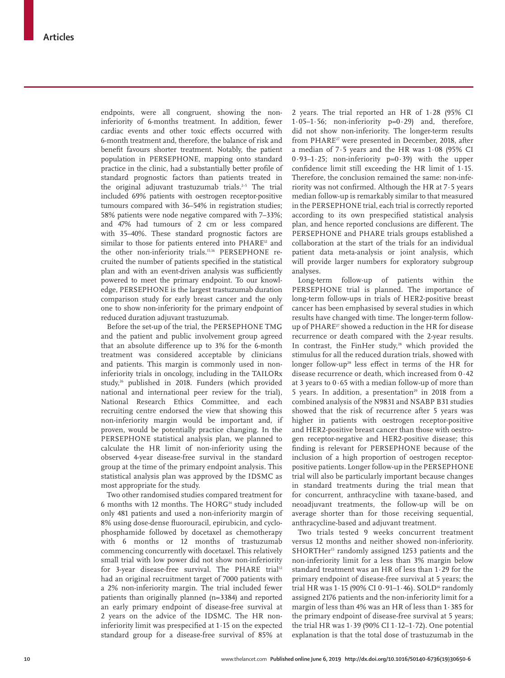endpoints, were all congruent, showing the noninferiority of 6-months treatment. In addition, fewer cardiac events and other toxic effects occurred with 6-month treatment and, therefore, the balance of risk and benefit favours shorter treatment. Notably, the patient population in PERSEPHONE, mapping onto standard practice in the clinic, had a substantially better profile of standard prognostic factors than patients treated in the original adjuvant trastuzumab trials.<sup>2-5</sup> The trial included 69% patients with oestrogen receptor-positive tumours compared with 36–54% in registration studies; 58% patients were node negative compared with 7–33%; and 47% had tumours of 2 cm or less compared with 35–40%. These standard prognostic factors are similar to those for patients entered into PHARE<sup>12</sup> and the other non-inferiority trials.15,16 PERSEPHONE recruited the number of patients specified in the statistical plan and with an event-driven analysis was sufficiently powered to meet the primary endpoint. To our knowledge, PERSEPHONE is the largest trastuzumab duration comparison study for early breast cancer and the only one to show non-inferiority for the primary endpoint of reduced duration adjuvant trastuzumab.

Before the set-up of the trial, the PERSEPHONE TMG and the patient and public involvement group agreed that an absolute difference up to 3% for the 6-month treatment was considered acceptable by clinicians and patients. This margin is commonly used in noninferiority trials in oncology, including in the TAILORx study,<sup>26</sup> published in 2018. Funders (which provided national and international peer review for the trial), National Research Ethics Committee, and each recruiting centre endorsed the view that showing this non-inferiority margin would be important and, if proven, would be potentially practice changing. In the PERSEPHONE statistical analysis plan, we planned to calculate the HR limit of non-inferiority using the observed 4-year disease-free survival in the standard group at the time of the primary endpoint analysis. This statistical analysis plan was approved by the IDSMC as most appropriate for the study.

Two other randomised studies compared treatment for 6 months with 12 months. The  $HORG<sup>14</sup>$  study included only 481 patients and used a non-inferiority margin of 8% using dose-dense fluorouracil, epirubicin, and cyclophosphamide followed by docetaxel as chemotherapy with 6 months or 12 months of trastuzumab commencing concurrently with docetaxel. This relatively small trial with low power did not show non-inferiority for 3-year disease-free survival. The PHARE trial<sup>12</sup> had an original recruitment target of 7000 patients with a 2% non-inferiority margin. The trial included fewer patients than originally planned (n=3384) and reported an early primary endpoint of disease-free survival at 2 years on the advice of the IDSMC. The HR noninferiority limit was prespecified at 1·15 on the expected standard group for a disease-free survival of 85% at

2 years. The trial reported an HR of 1·28 (95% CI 1·05–1·56; non-inferiority p=0·29) and, therefore, did not show non-inferiority. The longer-term results from PHARE<sup>27</sup> were presented in December, 2018, after a median of 7·5 years and the HR was 1·08 (95% CI 0·93–1·25; non-inferiority p=0·39) with the upper confidence limit still exceeding the HR limit of 1·15. Therefore, the conclusion remained the same: non-inferiority was not confirmed. Although the HR at 7·5 years median follow-up is remarkably similar to that measured in the PERSEPHONE trial, each trial is correctly reported according to its own prespecified statistical analysis plan, and hence reported conclusions are different. The PERSEPHONE and PHARE trials groups established a collaboration at the start of the trials for an individual patient data meta-analysis or joint analysis, which will provide larger numbers for exploratory subgroup analyses.

Long-term follow-up of patients within the PERSEPHONE trial is planned. The importance of long-term follow-ups in trials of HER2-positive breast cancer has been emphasised by several studies in which results have changed with time. The longer-term followup of PHARE<sup>27</sup> showed a reduction in the HR for disease recurrence or death compared with the 2-year results. In contrast, the FinHer study, $28$  which provided the stimulus for all the reduced duration trials, showed with longer follow-up<sup>28</sup> less effect in terms of the HR for disease recurrence or death, which increased from 0·42 at 3 years to 0·65 with a median follow-up of more than 5 years. In addition, a presentation<sup>29</sup> in 2018 from a combined analysis of the N9831 and NSABP B31 studies showed that the risk of recurrence after 5 years was higher in patients with oestrogen receptor-positive and HER2-positive breast cancer than those with oestrogen receptor-negative and HER2-positive disease; this finding is relevant for PERSEPHONE because of the inclusion of a high proportion of oestrogen receptorpositive patients. Longer follow-up in the PERSEPHONE trial will also be particularly important because changes in standard treatments during the trial mean that for concurrent, anthracycline with taxane-based, and neoadjuvant treatments, the follow-up will be on average shorter than for those receiving sequential, anthracycline-based and adjuvant treatment.

Two trials tested 9 weeks concurrent treatment versus 12 months and neither showed non-inferiority. SHORTHer<sup>15</sup> randomly assigned 1253 patients and the non-inferiority limit for a less than 3% margin below standard treatment was an HR of less than 1·29 for the primary endpoint of disease-free survival at 5 years; the trial HR was  $1.15$  (90% CI 0 $.91-1.46$ ). SOLD<sup>16</sup> randomly assigned 2176 patients and the non-inferiority limit for a margin of less than 4% was an HR of less than 1·385 for the primary endpoint of disease-free survival at 5 years; the trial HR was  $1.39$  (90% CI  $1.12-1.72$ ). One potential explanation is that the total dose of trastuzumab in the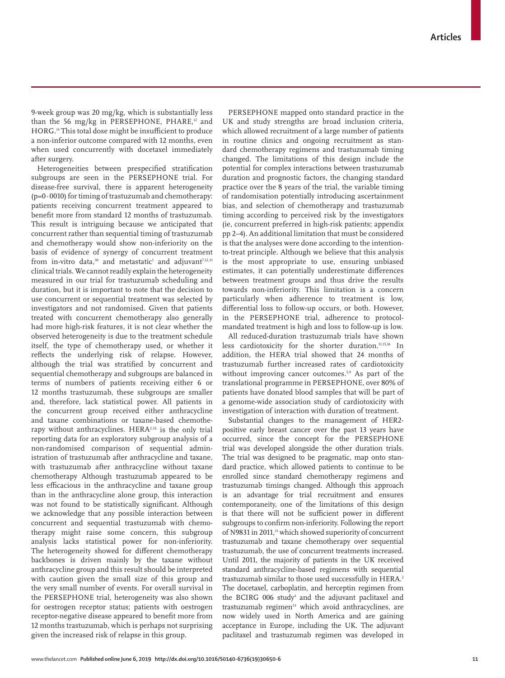9-week group was 20 mg/kg, which is substantially less than the 56 mg/kg in PERSEPHONE, PHARE, $12$  and HORG.14 This total dose might be insufficient to produce a non-inferior outcome compared with 12 months, even when used concurrently with docetaxel immediately after surgery.

Heterogeneities between prespecified stratification subgroups are seen in the PERSEPHONE trial. For disease-free survival, there is apparent heterogeneity  $(p=0.0010)$  for timing of trastuzumab and chemotherapy: patients receiving concurrent treatment appeared to benefit more from standard 12 months of trastuzumab. This result is intriguing because we anticipated that concurrent rather than sequential timing of trastuzumab and chemotherapy would show non-inferiority on the basis of evidence of synergy of concurrent treatment from in-vitro data, $^{\scriptscriptstyle 30}$  and metastatic $^{\scriptscriptstyle 1}$  and adjuvant $^{\scriptscriptstyle 7,12,31}$ clinical trials. We cannot readily explain the heterogeneity measured in our trial for trastuzumab scheduling and duration, but it is important to note that the decision to use concurrent or sequential treatment was selected by investigators and not randomised. Given that patients treated with concurrent chemotherapy also generally had more high-risk features, it is not clear whether the observed heterogeneity is due to the treatment schedule itself, the type of chemotherapy used, or whether it reflects the underlying risk of relapse. However, although the trial was stratified by concurrent and sequential chemotherapy and subgroups are balanced in terms of numbers of patients receiving either 6 or 12 months trastuzumab, these subgroups are smaller and, therefore, lack statistical power. All patients in the concurrent group received either anthracycline and taxane combinations or taxane-based chemotherapy without anthracyclines. HERA<sup>2,32</sup> is the only trial reporting data for an exploratory subgroup analysis of a non-randomised comparison of sequential administration of trastuzumab after anthracycline and taxane, with trastuzumab after anthracycline without taxane chemotherapy Although trastuzumab appeared to be less efficacious in the anthracycline and taxane group than in the anthracycline alone group, this interaction was not found to be statistically significant. Although we acknowledge that any possible interaction between concurrent and sequential trastuzumab with chemotherapy might raise some concern, this subgroup analysis lacks statistical power for non-inferiority. The heterogeneity showed for different chemotherapy backbones is driven mainly by the taxane without anthracycline group and this result should be interpreted with caution given the small size of this group and the very small number of events. For overall survival in the PERSEPHONE trial, heterogeneity was also shown for oestrogen receptor status; patients with oestrogen receptor-negative disease appeared to benefit more from 12 months trastuzumab, which is perhaps not surprising given the increased risk of relapse in this group.

PERSEPHONE mapped onto standard practice in the UK and study strengths are broad inclusion criteria, which allowed recruitment of a large number of patients in routine clinics and ongoing recruitment as standard chemotherapy regimens and trastuzumab timing changed. The limitations of this design include the potential for complex interactions between trastuzumab duration and prognostic factors, the changing standard practice over the 8 years of the trial, the variable timing of randomisation potentially introducing ascertainment bias, and selection of chemotherapy and trastuzumab timing according to perceived risk by the investigators (ie, concurrent preferred in high-risk patients; appendix pp 2–4). An additional limitation that must be considered is that the analyses were done according to the intentionto-treat principle. Although we believe that this analysis is the most appropriate to use, ensuring unbiased estimates, it can potentially underestimate differences between treatment groups and thus drive the results towards non-inferiority. This limitation is a concern particularly when adherence to treatment is low, differential loss to follow-up occurs, or both. However, in the PERSEPHONE trial, adherence to protocolmandated treatment is high and loss to follow-up is low.

All reduced-duration trastuzumab trials have shown less cardiotoxicity for the shorter duration.11,15,16 In addition, the HERA trial showed that 24 months of trastuzumab further increased rates of cardiotoxicity without improving cancer outcomes.<sup>5,9</sup> As part of the translational programme in PERSEPHONE, over 80% of patients have donated blood samples that will be part of a genome-wide association study of cardiotoxicity with investigation of interaction with duration of treatment.

Substantial changes to the management of HER2 positive early breast cancer over the past 13 years have occurred, since the concept for the PERSEPHONE trial was developed alongside the other duration trials. The trial was designed to be pragmatic, map onto standard practice, which allowed patients to continue to be enrolled since standard chemotherapy regimens and trastuzumab timings changed. Although this approach is an advantage for trial recruitment and ensures contemporaneity, one of the limitations of this design is that there will not be sufficient power in different subgroups to confirm non-inferiority. Following the report of N9831 in 2011,<sup>31</sup> which showed superiority of concurrent trastuzumab and taxane chemotherapy over sequential trastuzumab, the use of concurrent treatments increased. Until 2011, the majority of patients in the UK received standard anthracycline-based regimens with sequential trastuzumab similar to those used successfully in HERA.<sup>2</sup> The docetaxel, carboplatin, and herceptin regimen from the BCIRG 006 study<sup>4</sup> and the adjuvant paclitaxel and trastuzumab regimen<sup>33</sup> which avoid anthracyclines, are now widely used in North America and are gaining acceptance in Europe, including the UK. The adjuvant paclitaxel and trastuzumab regimen was developed in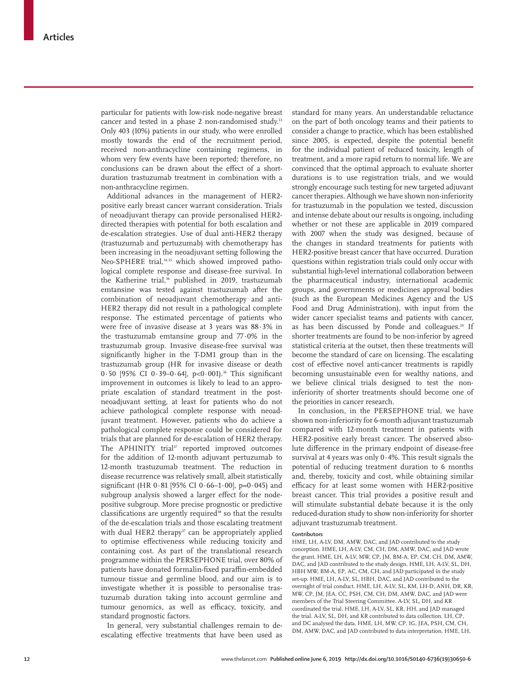particular for patients with low-risk node-negative breast cancer and tested in a phase 2 non-randomised study.<sup>33</sup> Only 403 (10%) patients in our study, who were enrolled mostly towards the end of the recruitment period, received non-anthracycline containing regimens, in whom very few events have been reported; therefore, no conclusions can be drawn about the effect of a shortduration trastuzumab treatment in combination with a non-anthracycline regimen.

Additional advances in the management of HER2 positive early breast cancer warrant consideration. Trials of neoadjuvant therapy can provide personalised HER2 directed therapies with potential for both escalation and de-escalation strategies. Use of dual anti-HER2 therapy (trastuzumab and pertuzumab) with chemotherapy has been increasing in the neoadjuvant setting following the Neo-SPHERE trial,<sup>34,35</sup> which showed improved pathological complete response and disease-free survival. In the Katherine trial,<sup>36</sup> published in 2019, trastuzumab emtansine was tested against trastuzumab after the combination of neoadjuvant chemotherapy and anti-HER2 therapy did not result in a pathological complete response. The estimated percentage of patients who were free of invasive disease at 3 years was 88·3% in the trastuzumab emtansine group and 77·0% in the trastuzumab group. Invasive disease-free survival was significantly higher in the T-DM1 group than in the trastuzumab group (HR for invasive disease or death 0.50 [95% CI 0.39-0.64],  $p < 0.001$ ].<sup>36</sup> This significant improvement in outcomes is likely to lead to an appropriate escalation of standard treatment in the postneoadjuvant setting, at least for patients who do not achieve pathological complete response with neoadjuvant treatment. However, patients who do achieve a pathological complete response could be considered for trials that are planned for de-escalation of HER2 therapy. The APHINITY trial<sup>37</sup> reported improved outcomes for the addition of 12-month adjuvant pertuzumab to 12-month trastuzumab treatment. The reduction in disease recurrence was relatively small, albeit statistically significant (HR  $0.81$  [95% CI  $0.66-1.00$ ], p=0.045) and subgroup analysis showed a larger effect for the nodepositive subgroup. More precise prognostic or predictive  $classifications$  are urgently required $38$  so that the results of the de-escalation trials and those escalating treatment with dual HER2 therapy<sup>37</sup> can be appropriately applied to optimise effectiveness while reducing toxicity and containing cost. As part of the translational research programme within the PERSEPHONE trial, over 80% of patients have donated formalin-fixed paraffin-embedded tumour tissue and germline blood, and our aim is to investigate whether it is possible to personalise trastuzumab duration taking into account germline and tumour genomics, as well as efficacy, toxicity, and standard prognostic factors.

In general, very substantial challenges remain to deescalating effective treatments that have been used as standard for many years. An understandable reluctance on the part of both oncology teams and their patients to consider a change to practice, which has been established since 2005, is expected, despite the potential benefit for the individual patient of reduced toxicity, length of treatment, and a more rapid return to normal life. We are convinced that the optimal approach to evaluate shorter durations is to use registration trials, and we would strongly encourage such testing for new targeted adjuvant cancer therapies. Although we have shown non-inferiority for trastuzumab in the population we tested, discussion and intense debate about our results is ongoing, including whether or not these are applicable in 2019 compared with 2007 when the study was designed, because of the changes in standard treatments for patients with HER2-positive breast cancer that have occurred. Duration questions within registration trials could only occur with substantial high-level international collaboration between the pharmaceutical industry, international academic groups, and governments or medicines approval bodies (such as the European Medicines Agency and the US Food and Drug Administration), with input from the wider cancer specialist teams and patients with cancer, as has been discussed by Ponde and colleagues.<sup>39</sup> If shorter treatments are found to be non-inferior by agreed statistical criteria at the outset, then these treatments will become the standard of care on licensing. The escalating cost of effective novel anti-cancer treatments is rapidly becoming unsustainable even for wealthy nations, and we believe clinical trials designed to test the noninferiority of shorter treatments should become one of the priorities in cancer research.

In conclusion, in the PERSEPHONE trial, we have shown non-inferiority for 6-month adjuvant trastuzumab compared with 12-month treatment in patients with HER2-positive early breast cancer. The observed absolute difference in the primary endpoint of disease-free survival at 4 years was only 0·4%. This result signals the potential of reducing treatment duration to 6 months and, thereby, toxicity and cost, while obtaining similar efficacy for at least some women with HER2-positive breast cancer. This trial provides a positive result and will stimulate substantial debate because it is the only reduced-duration study to show non-inferiority for shorter adjuvant trastuzumab treatment.

#### **Contributors**

HME, LH, A-LV, DM, AMW, DAC, and JAD contributed to the study conception. HME, LH, A-LV, CM, CH, DM, AMW, DAC, and JAD wrote the grant. HME, LH, A-LV, MW, CP, JM, BM-A, EP, CM, CH, DM, AMW, DAC, and JAD contributed to the study design. HME, LH, A-LV, SL, DH, HBH MW, BM-A, EP, AC, CM, CH, and JAD participated in the study set-up. HME, LH, A-LV, SL, HBH, DAC, and JAD contributed to the oversight of trial conduct. HME, LH, A-LV, SL, KM, LH-D, ANH, DR, KR, MW, CP, JM, JEA, CC, PSH, CM, CH, DM, AMW, DAC, and JAD were members of the Trial Steering Committee. A-LV, SL, DH, and KR coordinated the trial. HME, LH, A-LV, SL, KR, HH, and JAD managed the trial. A-LV, SL, DH, and KR contributed to data collection. LH, CP, and DC analysed the data. HME, LH, MW, CP, IG, JEA, PSH, CM, CH, DM, AMW, DAC, and JAD contributed to data interpretation. HME, LH,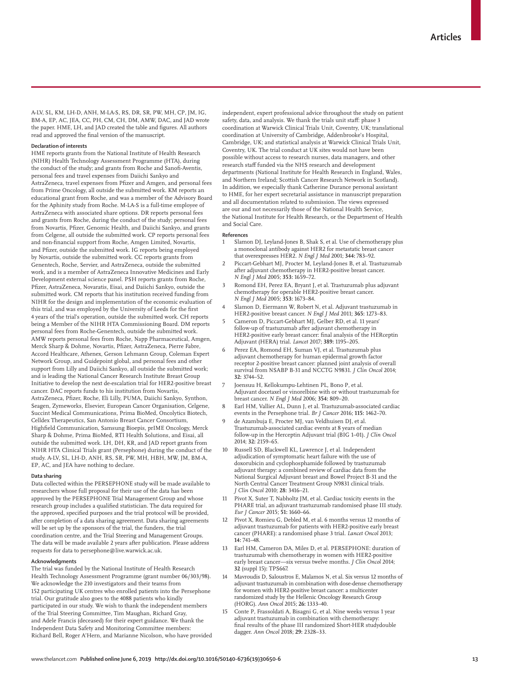A-LV, SL, KM, LH-D, ANH, M-LA-S, RS, DR, SR, PW, MH, CP, JM, IG, BM-A, EP, AC, JEA, CC, PH, CM, CH, DM, AMW, DAC, and JAD wrote the paper. HME, LH, and JAD created the table and figures. All authors read and approved the final version of the manuscript.

#### **Declaration of interests**

HME reports grants from the National Institute of Health Research (NIHR) Health Technology Assessment Programme (HTA), during the conduct of the study; and grants from Roche and Sanofi-Aventis, personal fees and travel expenses from Daiichi Sankyo and AstraZeneca, travel expenses from Pfizer and Amgen, and personal fees from Prime Oncology, all outside the submitted work. KM reports an educational grant from Roche, and was a member of the Advisory Board for the Aphinity study from Roche. M-LA-S is a full-time employee of AstraZeneca with associated share options. DR reports personal fees and grants from Roche, during the conduct of the study; personal fees from Novartis, Pfizer, Genomic Health, and Daiichi Sankyo, and grants from Celgene, all outside the submitted work. CP reports personal fees and non-financial support from Roche, Amgen Limited, Novartis, and Pfizer, outside the submitted work. IG reports being employed by Novartis, outside the submitted work. CC reports grants from Genentech, Roche, Servier, and AstraZeneca, outside the submitted work, and is a member of AstraZeneca Innovative Medicines and Early Development external science panel. PSH reports grants from Roche, Pfizer, AstraZeneca, Novaratis, Eisai, and Daiichi Sankyo, outside the submitted work. CM reports that his institution received funding from NIHR for the design and implementation of the economic evaluation of this trial, and was employed by the University of Leeds for the first 4 years of the trial's operation, outside the submitted work. CH reports being a Member of the NIHR HTA Commissioning Board. DM reports personal fees from Roche-Genentech, outside the submitted work. AMW reports personal fees from Roche, Napp Pharmaceutical, Amgen, Merck Sharp & Dohme, Novartis, Pfizer, AstraZeneca, Pierre Fabre, Accord Healthcare, Athenex, Gerson Lehmann Group, Coleman Expert Network Group, and Guidepoint global, and personal fees and other support from Lilly and Daiichi Sankyo, all outside the submitted work; and is leading the National Cancer Research Institute Breast Group Initiative to develop the next de-escalation trial for HER2-positive breast cancer. DAC reports funds to his institution from Novartis, AstraZeneca, Pfizer, Roche, Eli Lilly, PUMA, Daiichi Sankyo, Synthon, Seagen, Zymeworks, Elsevier, European Cancer Organisation, Celgene, Succint Medical Communications, Prima BioMed, Oncolytics Biotech, Celldex Therapeutics, San Antonio Breast Cancer Consortium, Highfield Communication, Samsung Bioepis, prIME Oncology, Merck Sharp & Dohme, Prima BioMed, RTI Health Solutions, and Eisai, all outside the submitted work. LH, DH, KR, and JAD report grants from NIHR HTA Clinical Trials grant (Persephone) during the conduct of the study. A-LV, SL, LH-D, ANH, RS, SR, PW, MH, HBH, MW, JM, BM-A, EP, AC, and JEA have nothing to declare.

#### **Data sharing**

Data collected within the PERSEPHONE study will be made available to researchers whose full proposal for their use of the data has been approved by the PERSEPHONE Trial Management Group and whose research group includes a qualified statistician. The data required for the approved, specified purposes and the trial protocol will be provided, after completion of a data sharing agreement. Data sharing agreements will be set up by the sponsors of the trial, the funders, the trial coordination centre, and the Trial Steering and Management Groups. The data will be made available 2 years after publication. Please address requests for data to persephone@live.warwick.ac.uk.

#### **Acknowledgments**

The trial was funded by the National Institute of Health Research Health Technology Assessment Programme (grant number 06/303/98). We acknowledge the 210 investigators and their teams from 152 participating UK centres who enrolled patients into the Persephone trial. Our gratitude also goes to the 4088 patients who kindly participated in our study. We wish to thank the independent members of the Trial Steering Committee, Tim Maughan, Richard Gray, and Adele Francis (deceased) for their expert guidance. We thank the Independent Data Safety and Monitoring Committee members: Richard Bell, Roger A'Hern, and Marianne Nicolson, who have provided independent, expert professional advice throughout the study on patient safety, data, and analysis. We thank the trials unit staff: phase 3 coordination at Warwick Clinical Trials Unit, Coventry, UK; translational coordination at University of Cambridge, Addenbrooke's Hospital, Cambridge, UK; and statistical analysis at Warwick Clinical Trials Unit, Coventry, UK. The trial conduct at UK sites would not have been possible without access to research nurses, data managers, and other research staff funded via the NHS research and development departments (National Institute for Health Research in England, Wales, and Northern Ireland; Scottish Cancer Research Network in Scotland). In addition, we especially thank Catherine Durance personal assistant to HME, for her expert secretarial assistance in manuscript preparation and all documentation related to submission. The views expressed are our and not necessarily those of the National Health Service, the National Institute for Health Research, or the Department of Health and Social Care.

#### **References**

- Slamon DJ, Leyland-Jones B, Shak S, et al. Use of chemotherapy plus a monoclonal antibody against HER2 for metastatic breast cancer that overexpresses HER2. *N Engl J Med* 2001; **344:** 783–92.
- 2 Piccart-Gebhart MJ, Procter M, Leyland-Jones B, et al. Trastuzumab after adjuvant chemotherapy in HER2-positive breast cancer. *N Engl J Med* 2005; **353:** 1659–72.
- 3 Romond EH, Perez EA, Bryant J, et al. Trastuzumab plus adjuvant chemotherapy for operable HER2-positive breast cancer. *N Engl J Med* 2005; **353:** 1673–84.
- 4 Slamon D, Eiermann W, Robert N, et al. Adjuvant trastuzumab in HER2-positive breast cancer. *N Engl J Med* 2011; **365:** 1273–83.
- 5 Cameron D, Piccart-Gebhart MJ, Gelber RD, et al. 11 years' follow-up of trastuzumab after adjuvant chemotherapy in HER2-positive early breast cancer: final analysis of the HERceptin Adjuvant (HERA) trial. *Lancet* 2017; **389:** 1195–205.
- 6 Perez EA, Romond EH, Suman VJ, et al. Trastuzumab plus adjuvant chemotherapy for human epidermal growth factor receptor 2-positive breast cancer: planned joint analysis of overall survival from NSABP B-31 and NCCTG N9831. *J Clin Oncol* 2014; **32:** 3744–52.
- 7 Joensuu H, Kellokumpu-Lehtinen PL, Bono P, et al. Adjuvant docetaxel or vinorelbine with or without trastuzumab for breast cancer. *N Engl J Med* 2006; **354:** 809–20.
- 8 Earl HM, Vallier AL, Dunn J, et al. Trastuzumab-associated cardiac events in the Persephone trial. *Br J Cancer* 2016; **115:** 1462–70.
- 9 de Azambuja E, Procter MJ, van Veldhuisen DJ, et al. Trastuzumab-associated cardiac events at 8 years of median follow-up in the Herceptin Adjuvant trial (BIG 1–01). *J Clin Oncol* 2014; **32:** 2159–65.
- Russell SD, Blackwell KL, Lawrence J, et al. Independent adjudication of symptomatic heart failure with the use of doxorubicin and cyclophosphamide followed by trastuzumab adjuvant therapy: a combined review of cardiac data from the National Surgical Adjuvant breast and Bowel Project B-31 and the North Central Cancer Treatment Group N9831 clinical trials. *J Clin Oncol* 2010; **28:** 3416–21.
- 11 Pivot X, Suter T, Nabholtz JM, et al. Cardiac toxicity events in the PHARE trial, an adjuvant trastuzumab randomised phase III study. *Eur J Cancer* 2015; **51:** 1660–66.
- 12 Pivot X, Romieu G, Debled M, et al. 6 months versus 12 months of adjuvant trastuzumab for patients with HER2-positive early breast cancer (PHARE): a randomised phase 3 trial. *Lancet Oncol* 2013; **14:** 741–48.
- 13 Earl HM, Cameron DA, Miles D, et al. PERSEPHONE: duration of trastuzumab with chemotherapy in women with HER2-positive early breast cancer—six versus twelve months. *J Clin Oncol* 2014; **32** (suppl 15)**:** TPS667.
- 14 Mavroudis D, Saloustros E, Malamos N, et al. Six versus 12 months of adjuvant trastuzumab in combination with dose-dense chemotherapy for women with HER2-positive breast cancer: a multicenter randomized study by the Hellenic Oncology Research Group (HORG). *Ann Oncol* 2015; **26:** 1333–40.
- 15 Conte P, Frassoldati A, Bisagni G, et al. Nine weeks versus 1 year adjuvant trastuzumab in combination with chemotherapy: final results of the phase III randomized Short-HER studydouble dagger. *Ann Oncol* 2018; **29:** 2328–33.